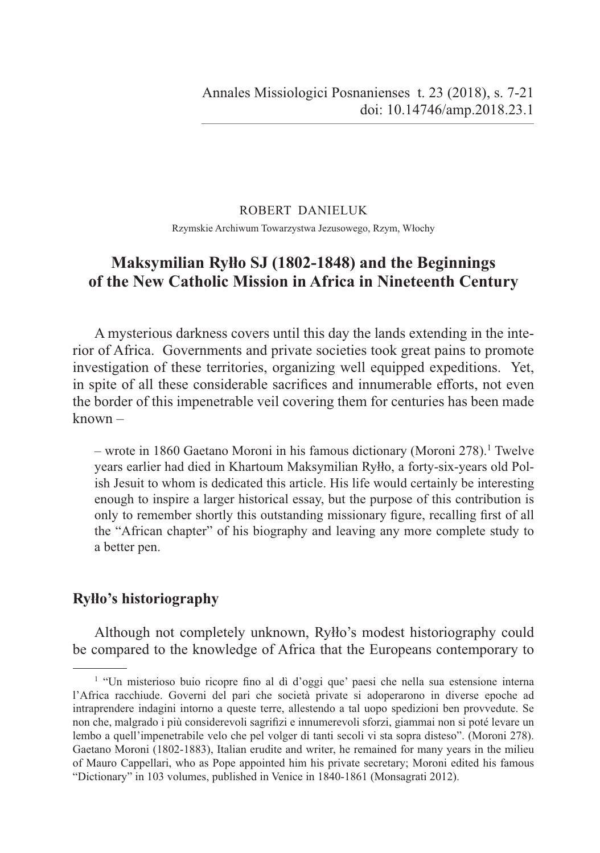#### ROBERT DANIELUK

Rzymskie Archiwum Towarzystwa Jezusowego, Rzym, Włochy

# **Maksymilian Ryłło SJ (1802-1848) and the Beginnings of the New Catholic Mission in Africa in Nineteenth Century**

A mysterious darkness covers until this day the lands extending in the interior of Africa. Governments and private societies took great pains to promote investigation of these territories, organizing well equipped expeditions. Yet, in spite of all these considerable sacrifices and innumerable efforts, not even the border of this impenetrable veil covering them for centuries has been made known –

– wrote in 1860 Gaetano Moroni in his famous dictionary (Moroni 278).<sup>1</sup> Twelve years earlier had died in Khartoum Maksymilian Ryłło, a forty-six-years old Polish Jesuit to whom is dedicated this article. His life would certainly be interesting enough to inspire a larger historical essay, but the purpose of this contribution is only to remember shortly this outstanding missionary figure, recalling first of all the "African chapter" of his biography and leaving any more complete study to a better pen.

### **Ryłło's historiography**

Although not completely unknown, Ryłło's modest historiography could be compared to the knowledge of Africa that the Europeans contemporary to

<sup>&</sup>lt;sup>1</sup> "Un misterioso buio ricopre fino al dì d'oggi que' paesi che nella sua estensione interna l'Africa racchiude. Governi del pari che società private si adoperarono in diverse epoche ad intraprendere indagini intorno a queste terre, allestendo a tal uopo spedizioni ben provvedute. Se non che, malgrado i più considerevoli sagrifizi e innumerevoli sforzi, giammai non si poté levare un lembo a quell'impenetrabile velo che pel volger di tanti secoli vi sta sopra disteso". (Moroni 278). Gaetano Moroni (1802-1883), Italian erudite and writer, he remained for many years in the milieu of Mauro Cappellari, who as Pope appointed him his private secretary; Moroni edited his famous "Dictionary" in 103 volumes, published in Venice in 1840-1861 (Monsagrati 2012).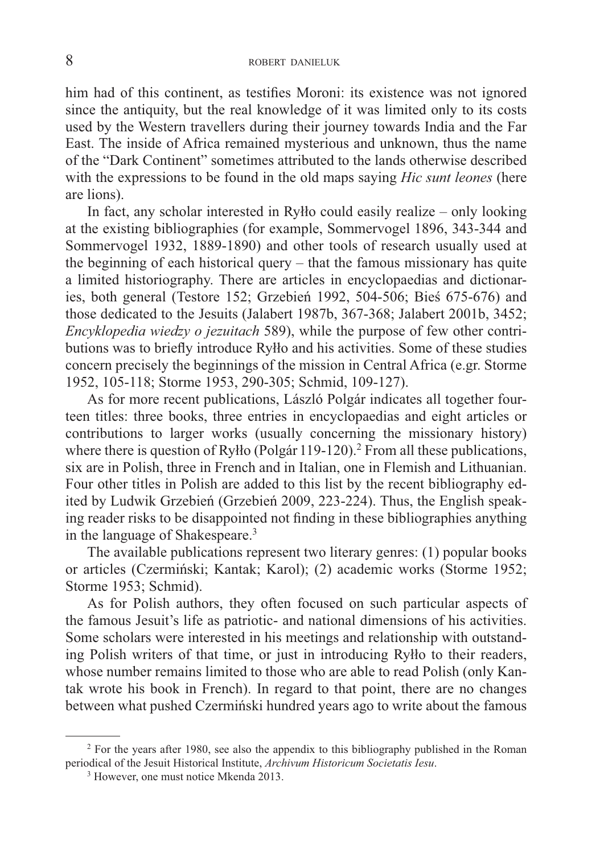him had of this continent, as testifies Moroni: its existence was not ignored since the antiquity, but the real knowledge of it was limited only to its costs used by the Western travellers during their journey towards India and the Far East. The inside of Africa remained mysterious and unknown, thus the name of the "Dark Continent" sometimes attributed to the lands otherwise described with the expressions to be found in the old maps saying *Hic sunt leones* (here are lions).

In fact, any scholar interested in Ryłło could easily realize – only looking at the existing bibliographies (for example, Sommervogel 1896, 343-344 and Sommervogel 1932, 1889-1890) and other tools of research usually used at the beginning of each historical query – that the famous missionary has quite a limited historiography. There are articles in encyclopaedias and dictionaries, both general (Testore 152; Grzebień 1992, 504-506; Bieś 675-676) and those dedicated to the Jesuits (Jalabert 1987b, 367-368; Jalabert 2001b, 3452; *Encyklopedia wiedzy o jezuitach* 589), while the purpose of few other contributions was to briefly introduce Ryłło and his activities. Some of these studies concern precisely the beginnings of the mission in Central Africa (e.gr. Storme 1952, 105-118; Storme 1953, 290-305; Schmid, 109-127).

As for more recent publications, László Polgár indicates all together fourteen titles: three books, three entries in encyclopaedias and eight articles or contributions to larger works (usually concerning the missionary history) where there is question of Ryłło (Polgár 119-120).<sup>2</sup> From all these publications, six are in Polish, three in French and in Italian, one in Flemish and Lithuanian. Four other titles in Polish are added to this list by the recent bibliography edited by Ludwik Grzebień (Grzebień 2009, 223-224). Thus, the English speaking reader risks to be disappointed not finding in these bibliographies anything in the language of Shakespeare.3

The available publications represent two literary genres: (1) popular books or articles (Czermiński; Kantak; Karol); (2) academic works (Storme 1952; Storme 1953; Schmid).

As for Polish authors, they often focused on such particular aspects of the famous Jesuit's life as patriotic- and national dimensions of his activities. Some scholars were interested in his meetings and relationship with outstanding Polish writers of that time, or just in introducing Ryłło to their readers, whose number remains limited to those who are able to read Polish (only Kantak wrote his book in French). In regard to that point, there are no changes between what pushed Czermiński hundred years ago to write about the famous

<sup>&</sup>lt;sup>2</sup> For the years after 1980, see also the appendix to this bibliography published in the Roman periodical of the Jesuit Historical Institute, *Archivum Historicum Societatis Iesu*.

<sup>3</sup> However, one must notice Mkenda 2013.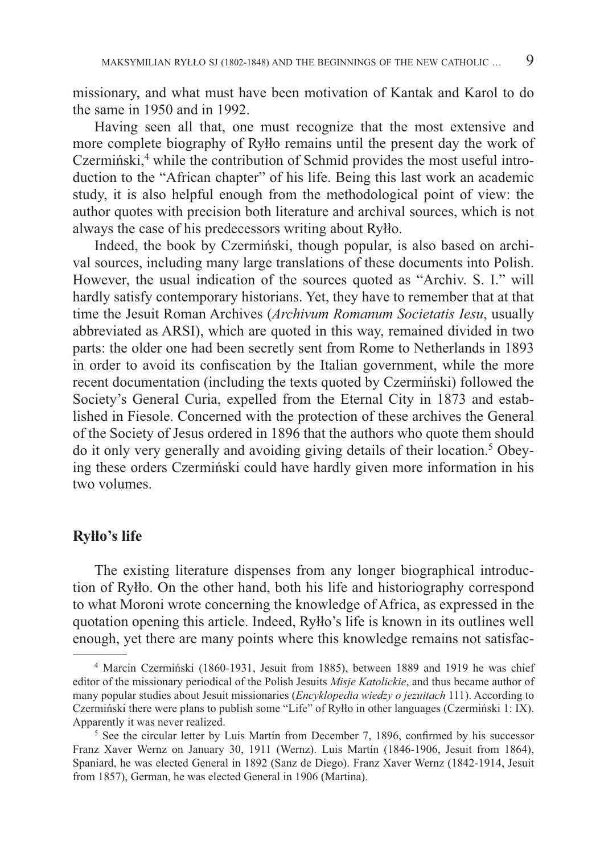missionary, and what must have been motivation of Kantak and Karol to do the same in 1950 and in 1992.

Having seen all that, one must recognize that the most extensive and more complete biography of Ryłło remains until the present day the work of Czermiński,<sup>4</sup> while the contribution of Schmid provides the most useful introduction to the "African chapter" of his life. Being this last work an academic study, it is also helpful enough from the methodological point of view: the author quotes with precision both literature and archival sources, which is not always the case of his predecessors writing about Ryłło.

Indeed, the book by Czermiński, though popular, is also based on archival sources, including many large translations of these documents into Polish. However, the usual indication of the sources quoted as "Archiv. S. I." will hardly satisfy contemporary historians. Yet, they have to remember that at that time the Jesuit Roman Archives (*Archivum Romanum Societatis Iesu*, usually abbreviated as ARSI), which are quoted in this way, remained divided in two parts: the older one had been secretly sent from Rome to Netherlands in 1893 in order to avoid its confiscation by the Italian government, while the more recent documentation (including the texts quoted by Czermiński) followed the Society's General Curia, expelled from the Eternal City in 1873 and established in Fiesole. Concerned with the protection of these archives the General of the Society of Jesus ordered in 1896 that the authors who quote them should do it only very generally and avoiding giving details of their location.<sup>5</sup> Obeying these orders Czermiński could have hardly given more information in his two volumes.

#### **Ryłło's life**

The existing literature dispenses from any longer biographical introduction of Ryłło. On the other hand, both his life and historiography correspond to what Moroni wrote concerning the knowledge of Africa, as expressed in the quotation opening this article. Indeed, Ryłło's life is known in its outlines well enough, yet there are many points where this knowledge remains not satisfac-

<sup>&</sup>lt;sup>4</sup> Marcin Czermiński (1860-1931, Jesuit from 1885), between 1889 and 1919 he was chief editor of the missionary periodical of the Polish Jesuits *Misje Katolickie*, and thus became author of many popular studies about Jesuit missionaries (*Encyklopedia wiedzy o jezuitach* 111). According to Czermiński there were plans to publish some "Life" of Ryłło in other languages (Czermiński 1: IX). Apparently it was never realized.

<sup>&</sup>lt;sup>5</sup> See the circular letter by Luis Martín from December 7, 1896, confirmed by his successor Franz Xaver Wernz on January 30, 1911 (Wernz). Luis Martín (1846-1906, Jesuit from 1864), Spaniard, he was elected General in 1892 (Sanz de Diego). Franz Xaver Wernz (1842-1914, Jesuit from 1857), German, he was elected General in 1906 (Martina).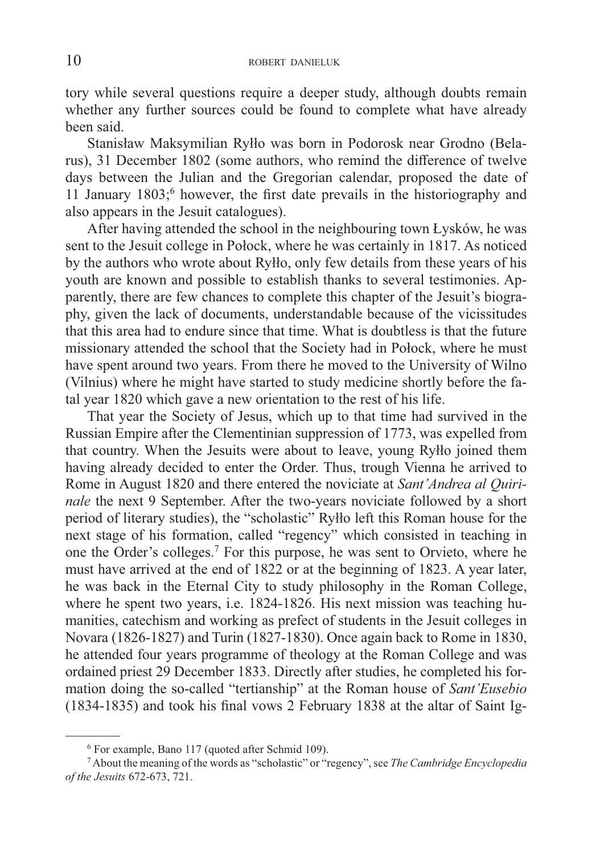tory while several questions require a deeper study, although doubts remain whether any further sources could be found to complete what have already been said.

Stanisław Maksymilian Ryłło was born in Podorosk near Grodno (Belarus), 31 December 1802 (some authors, who remind the difference of twelve days between the Julian and the Gregorian calendar, proposed the date of 11 January 1803;<sup>6</sup> however, the first date prevails in the historiography and also appears in the Jesuit catalogues).

After having attended the school in the neighbouring town Łysków, he was sent to the Jesuit college in Połock, where he was certainly in 1817. As noticed by the authors who wrote about Ryłło, only few details from these years of his youth are known and possible to establish thanks to several testimonies. Apparently, there are few chances to complete this chapter of the Jesuit's biography, given the lack of documents, understandable because of the vicissitudes that this area had to endure since that time. What is doubtless is that the future missionary attended the school that the Society had in Połock, where he must have spent around two years. From there he moved to the University of Wilno (Vilnius) where he might have started to study medicine shortly before the fatal year 1820 which gave a new orientation to the rest of his life.

That year the Society of Jesus, which up to that time had survived in the Russian Empire after the Clementinian suppression of 1773, was expelled from that country. When the Jesuits were about to leave, young Ryłło joined them having already decided to enter the Order. Thus, trough Vienna he arrived to Rome in August 1820 and there entered the noviciate at *Sant'Andrea al Quirinale* the next 9 September. After the two-years noviciate followed by a short period of literary studies), the "scholastic" Ryłło left this Roman house for the next stage of his formation, called "regency" which consisted in teaching in one the Order's colleges.<sup>7</sup> For this purpose, he was sent to Orvieto, where he must have arrived at the end of 1822 or at the beginning of 1823. A year later, he was back in the Eternal City to study philosophy in the Roman College, where he spent two years, i.e. 1824-1826. His next mission was teaching humanities, catechism and working as prefect of students in the Jesuit colleges in Novara (1826-1827) and Turin (1827-1830). Once again back to Rome in 1830, he attended four years programme of theology at the Roman College and was ordained priest 29 December 1833. Directly after studies, he completed his formation doing the so-called "tertianship" at the Roman house of *Sant'Eusebio* (1834-1835) and took his final vows  $\overline{2}$  February 1838 at the altar of Saint Ig-

<sup>6</sup> For example, Bano 117 (quoted after Schmid 109).

<sup>7</sup> About the meaning of the words as "scholastic" or "regency", see *The Cambridge Encyclopedia of the Jesuits* 672-673, 721.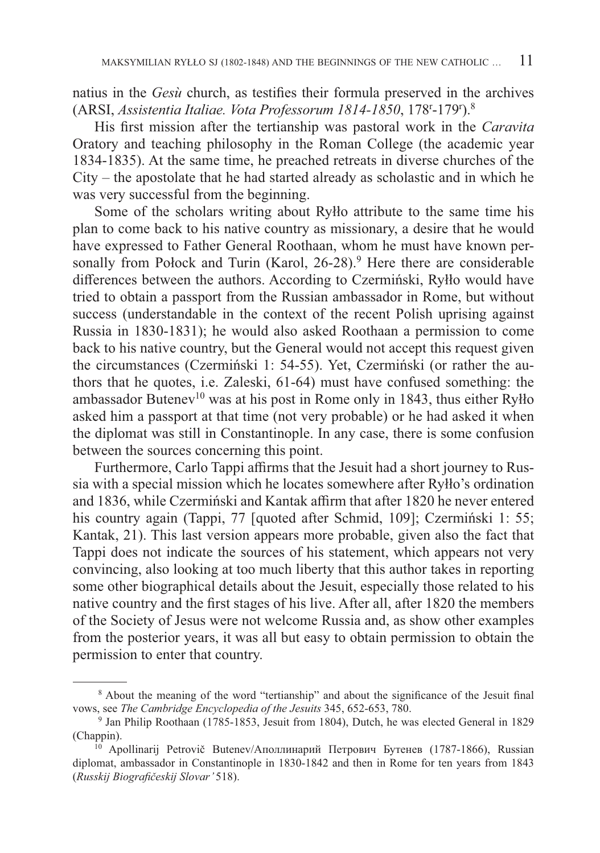natius in the  $Ges\dot{u}$  church, as testifies their formula preserved in the archives (ARSI, *Assistentia Italiae. Vota Professorum 1814-1850*, 178r -179r ).8

His first mission after the tertianship was pastoral work in the *Caravita* Oratory and teaching philosophy in the Roman College (the academic year 1834-1835). At the same time, he preached retreats in diverse churches of the City – the apostolate that he had started already as scholastic and in which he was very successful from the beginning.

Some of the scholars writing about Ryłło attribute to the same time his plan to come back to his native country as missionary, a desire that he would have expressed to Father General Roothaan, whom he must have known personally from Połock and Turin (Karol,  $26-28$ ).<sup>9</sup> Here there are considerable differences between the authors. According to Czermiński, Ryłło would have tried to obtain a passport from the Russian ambassador in Rome, but without success (understandable in the context of the recent Polish uprising against Russia in 1830-1831); he would also asked Roothaan a permission to come back to his native country, but the General would not accept this request given the circumstances (Czermiński 1: 54-55). Yet, Czermiński (or rather the authors that he quotes, i.e. Zaleski, 61-64) must have confused something: the ambassador Butenev<sup>10</sup> was at his post in Rome only in 1843, thus either Ryłło asked him a passport at that time (not very probable) or he had asked it when the diplomat was still in Constantinople. In any case, there is some confusion between the sources concerning this point.

Furthermore, Carlo Tappi affirms that the Jesuit had a short journey to Russia with a special mission which he locates somewhere after Ryłło's ordination and 1836, while Czermiński and Kantak affirm that after 1820 he never entered his country again (Tappi, 77 [quoted after Schmid, 109]; Czermiński 1: 55; Kantak, 21). This last version appears more probable, given also the fact that Tappi does not indicate the sources of his statement, which appears not very convincing, also looking at too much liberty that this author takes in reporting some other biographical details about the Jesuit, especially those related to his native country and the first stages of his live. After all, after 1820 the members of the Society of Jesus were not welcome Russia and, as show other examples from the posterior years, it was all but easy to obtain permission to obtain the permission to enter that country.

 $8$  About the meaning of the word "tertianship" and about the significance of the Jesuit final vows, see *The Cambridge Encyclopedia of the Jesuits* 345, 652-653, 780.<br><sup>9</sup> Jan Philip Roothaan (1785-1853, Jesuit from 1804), Dutch, he was elected General in 1829

<sup>(</sup>Chappin).

<sup>&</sup>lt;sup>10</sup> Apollinarij Petrovič Butenev/Аполлинарий Петрович Бутенев (1787-1866), Russian diplomat, ambassador in Constantinople in 1830-1842 and then in Rome for ten years from 1843 (*Russkij Biografi českij Slovar'* 518).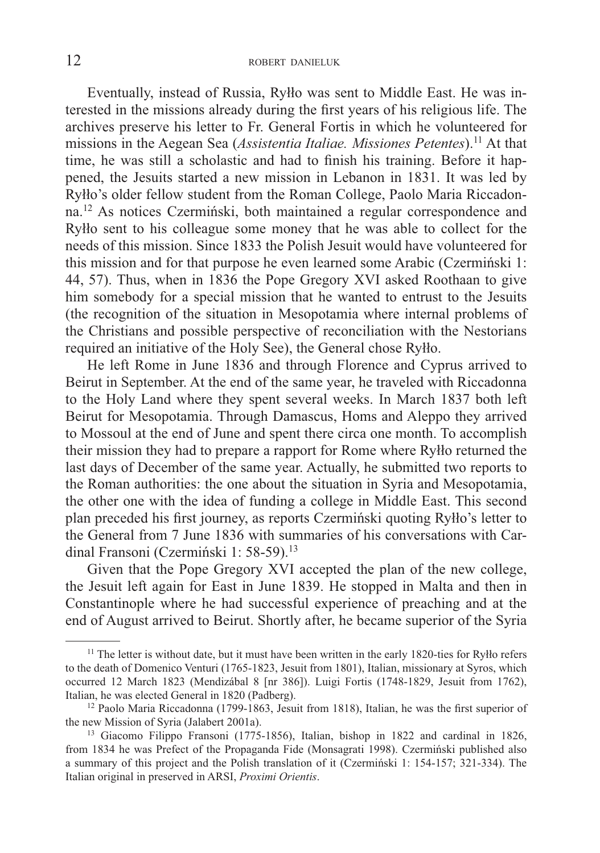Eventually, instead of Russia, Ryłło was sent to Middle East. He was interested in the missions already during the first years of his religious life. The archives preserve his letter to Fr. General Fortis in which he volunteered for missions in the Aegean Sea (*Assistentia Italiae. Missiones Petentes*).11 At that time, he was still a scholastic and had to finish his training. Before it happened, the Jesuits started a new mission in Lebanon in 1831. It was led by Ryłło's older fellow student from the Roman College, Paolo Maria Riccadonna.12 As notices Czermiński, both maintained a regular correspondence and Ryłło sent to his colleague some money that he was able to collect for the needs of this mission. Since 1833 the Polish Jesuit would have volunteered for this mission and for that purpose he even learned some Arabic (Czermiński 1: 44, 57). Thus, when in 1836 the Pope Gregory XVI asked Roothaan to give him somebody for a special mission that he wanted to entrust to the Jesuits (the recognition of the situation in Mesopotamia where internal problems of the Christians and possible perspective of reconciliation with the Nestorians required an initiative of the Holy See), the General chose Ryłło.

He left Rome in June 1836 and through Florence and Cyprus arrived to Beirut in September. At the end of the same year, he traveled with Riccadonna to the Holy Land where they spent several weeks. In March 1837 both left Beirut for Mesopotamia. Through Damascus, Homs and Aleppo they arrived to Mossoul at the end of June and spent there circa one month. To accomplish their mission they had to prepare a rapport for Rome where Ryłło returned the last days of December of the same year. Actually, he submitted two reports to the Roman authorities: the one about the situation in Syria and Mesopotamia, the other one with the idea of funding a college in Middle East. This second plan preceded his first journey, as reports Czermiński quoting Ryłło's letter to the General from 7 June 1836 with summaries of his conversations with Cardinal Fransoni (Czermiński 1: 58-59).<sup>13</sup>

Given that the Pope Gregory XVI accepted the plan of the new college, the Jesuit left again for East in June 1839. He stopped in Malta and then in Constantinople where he had successful experience of preaching and at the end of August arrived to Beirut. Shortly after, he became superior of the Syria

<sup>&</sup>lt;sup>11</sup> The letter is without date, but it must have been written in the early 1820-ties for Ryłło refers to the death of Domenico Venturi (1765-1823, Jesuit from 1801), Italian, missionary at Syros, which occurred 12 March 1823 (Mendizábal 8 [nr 386]). Luigi Fortis (1748-1829, Jesuit from 1762), Italian, he was elected General in 1820 (Padberg).

 $12$  Paolo Maria Riccadonna (1799-1863, Jesuit from 1818), Italian, he was the first superior of the new Mission of Syria (Jalabert 2001a).

<sup>13</sup> Giacomo Filippo Fransoni (1775-1856), Italian, bishop in 1822 and cardinal in 1826, from 1834 he was Prefect of the Propaganda Fide (Monsagrati 1998). Czermiński published also a summary of this project and the Polish translation of it (Czermiński 1: 154-157; 321-334). The Italian original in preserved in ARSI, *Proximi Orientis*.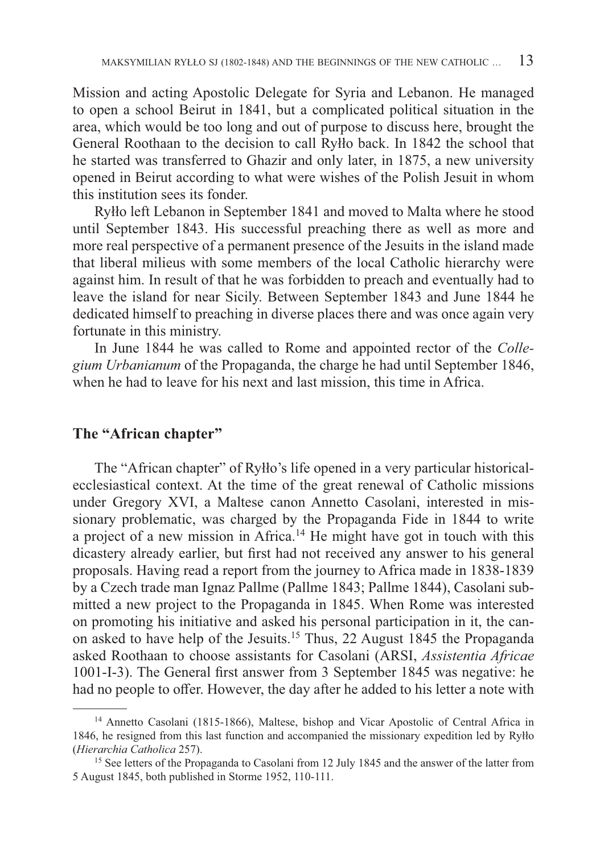Mission and acting Apostolic Delegate for Syria and Lebanon. He managed to open a school Beirut in 1841, but a complicated political situation in the area, which would be too long and out of purpose to discuss here, brought the General Roothaan to the decision to call Ryłło back. In 1842 the school that he started was transferred to Ghazir and only later, in 1875, a new university opened in Beirut according to what were wishes of the Polish Jesuit in whom this institution sees its fonder.

Ryłło left Lebanon in September 1841 and moved to Malta where he stood until September 1843. His successful preaching there as well as more and more real perspective of a permanent presence of the Jesuits in the island made that liberal milieus with some members of the local Catholic hierarchy were against him. In result of that he was forbidden to preach and eventually had to leave the island for near Sicily. Between September 1843 and June 1844 he dedicated himself to preaching in diverse places there and was once again very fortunate in this ministry.

In June 1844 he was called to Rome and appointed rector of the *Collegium Urbanianum* of the Propaganda, the charge he had until September 1846, when he had to leave for his next and last mission, this time in Africa.

### **The "African chapter"**

The "African chapter" of Ryłło's life opened in a very particular historicalecclesiastical context. At the time of the great renewal of Catholic missions under Gregory XVI, a Maltese canon Annetto Casolani, interested in missionary problematic, was charged by the Propaganda Fide in 1844 to write a project of a new mission in Africa.14 He might have got in touch with this dicastery already earlier, but first had not received any answer to his general proposals. Having read a report from the journey to Africa made in 1838-1839 by a Czech trade man Ignaz Pallme (Pallme 1843; Pallme 1844), Casolani submitted a new project to the Propaganda in 1845. When Rome was interested on promoting his initiative and asked his personal participation in it, the canon asked to have help of the Jesuits.15 Thus, 22 August 1845 the Propaganda asked Roothaan to choose assistants for Casolani (ARSI, *Assistentia Africae* 1001-I-3). The General first answer from 3 September 1845 was negative: he had no people to offer. However, the day after he added to his letter a note with

<sup>&</sup>lt;sup>14</sup> Annetto Casolani (1815-1866), Maltese, bishop and Vicar Apostolic of Central Africa in 1846, he resigned from this last function and accompanied the missionary expedition led by Ryłło (*Hierarchia Catholica* 257).

<sup>&</sup>lt;sup>15</sup> See letters of the Propaganda to Casolani from 12 July 1845 and the answer of the latter from 5 August 1845, both published in Storme 1952, 110-111.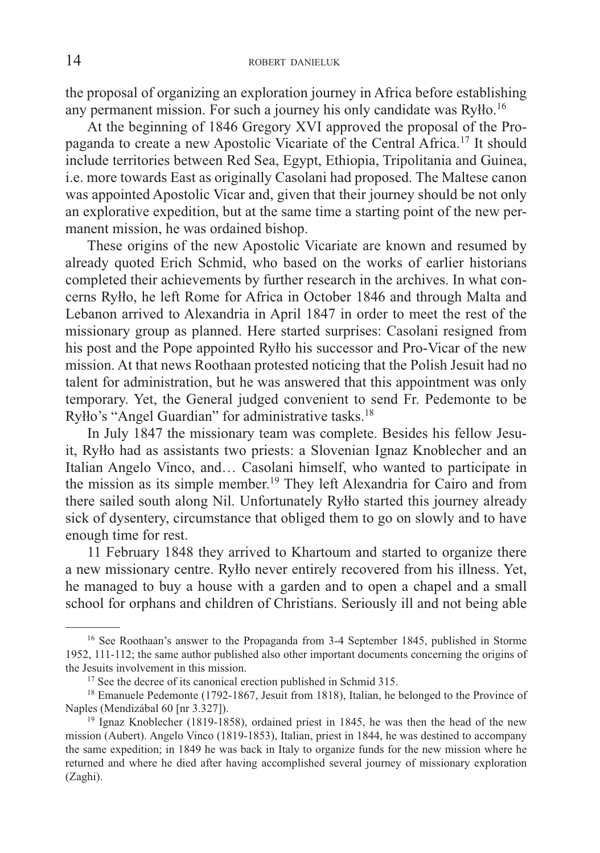the proposal of organizing an exploration journey in Africa before establishing any permanent mission. For such a journey his only candidate was Ryłło.16

At the beginning of 1846 Gregory XVI approved the proposal of the Propaganda to create a new Apostolic Vicariate of the Central Africa.17 It should include territories between Red Sea, Egypt, Ethiopia, Tripolitania and Guinea, i.e. more towards East as originally Casolani had proposed. The Maltese canon was appointed Apostolic Vicar and, given that their journey should be not only an explorative expedition, but at the same time a starting point of the new permanent mission, he was ordained bishop.

These origins of the new Apostolic Vicariate are known and resumed by already quoted Erich Schmid, who based on the works of earlier historians completed their achievements by further research in the archives. In what concerns Ryłło, he left Rome for Africa in October 1846 and through Malta and Lebanon arrived to Alexandria in April 1847 in order to meet the rest of the missionary group as planned. Here started surprises: Casolani resigned from his post and the Pope appointed Ryłło his successor and Pro-Vicar of the new mission. At that news Roothaan protested noticing that the Polish Jesuit had no talent for administration, but he was answered that this appointment was only temporary. Yet, the General judged convenient to send Fr. Pedemonte to be Ryłło's "Angel Guardian" for administrative tasks.18

In July 1847 the missionary team was complete. Besides his fellow Jesuit, Ryłło had as assistants two priests: a Slovenian Ignaz Knoblecher and an Italian Angelo Vinco, and… Casolani himself, who wanted to participate in the mission as its simple member.19 They left Alexandria for Cairo and from there sailed south along Nil. Unfortunately Ryłło started this journey already sick of dysentery, circumstance that obliged them to go on slowly and to have enough time for rest.

11 February 1848 they arrived to Khartoum and started to organize there a new missionary centre. Ryłło never entirely recovered from his illness. Yet, he managed to buy a house with a garden and to open a chapel and a small school for orphans and children of Christians. Seriously ill and not being able

<sup>&</sup>lt;sup>16</sup> See Roothaan's answer to the Propaganda from 3-4 September 1845, published in Storme 1952, 111-112; the same author published also other important documents concerning the origins of the Jesuits involvement in this mission.

 $17$  See the decree of its canonical erection published in Schmid 315.

<sup>&</sup>lt;sup>18</sup> Emanuele Pedemonte (1792-1867, Jesuit from 1818), Italian, he belonged to the Province of Naples (Mendizábal 60 [nr 3.327]).

<sup>&</sup>lt;sup>19</sup> Ignaz Knoblecher (1819-1858), ordained priest in 1845, he was then the head of the new mission (Aubert). Angelo Vinco (1819-1853), Italian, priest in 1844, he was destined to accompany the same expedition; in 1849 he was back in Italy to organize funds for the new mission where he returned and where he died after having accomplished several journey of missionary exploration (Zaghi).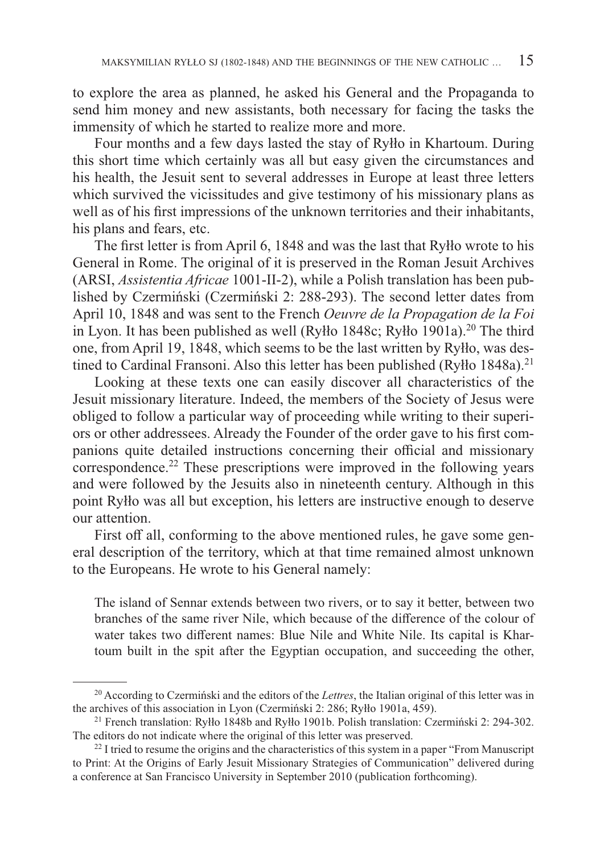to explore the area as planned, he asked his General and the Propaganda to send him money and new assistants, both necessary for facing the tasks the immensity of which he started to realize more and more.

Four months and a few days lasted the stay of Ryłło in Khartoum. During this short time which certainly was all but easy given the circumstances and his health, the Jesuit sent to several addresses in Europe at least three letters which survived the vicissitudes and give testimony of his missionary plans as well as of his first impressions of the unknown territories and their inhabitants, his plans and fears, etc.

The first letter is from April 6, 1848 and was the last that Ryłło wrote to his General in Rome. The original of it is preserved in the Roman Jesuit Archives (ARSI, *Assistentia Africae* 1001-II-2), while a Polish translation has been published by Czermiński (Czermiński 2: 288-293). The second letter dates from April 10, 1848 and was sent to the French *Oeuvre de la Propagation de la Foi* in Lyon. It has been published as well (Ryłło 1848c; Ryłło 1901a).<sup>20</sup> The third one, from April 19, 1848, which seems to be the last written by Ryłło, was destined to Cardinal Fransoni. Also this letter has been published (Ryłło 1848a).<sup>21</sup>

Looking at these texts one can easily discover all characteristics of the Jesuit missionary literature. Indeed, the members of the Society of Jesus were obliged to follow a particular way of proceeding while writing to their superiors or other addressees. Already the Founder of the order gave to his first companions quite detailed instructions concerning their official and missionary correspondence.22 These prescriptions were improved in the following years and were followed by the Jesuits also in nineteenth century. Although in this point Ryłło was all but exception, his letters are instructive enough to deserve our attention.

First off all, conforming to the above mentioned rules, he gave some general description of the territory, which at that time remained almost unknown to the Europeans. He wrote to his General namely:

The island of Sennar extends between two rivers, or to say it better, between two branches of the same river Nile, which because of the difference of the colour of water takes two different names: Blue Nile and White Nile. Its capital is Khartoum built in the spit after the Egyptian occupation, and succeeding the other,

<sup>20</sup> According to Czermiński and the editors of the *Lettres*, the Italian original of this letter was in the archives of this association in Lyon (Czermiński 2: 286; Ryłło 1901a, 459).

<sup>&</sup>lt;sup>21</sup> French translation: Ryłło 1848b and Ryłło 1901b. Polish translation: Czermiński 2: 294-302. The editors do not indicate where the original of this letter was preserved.

 $^{22}$  I tried to resume the origins and the characteristics of this system in a paper "From Manuscript" to Print: At the Origins of Early Jesuit Missionary Strategies of Communication" delivered during a conference at San Francisco University in September 2010 (publication forthcoming).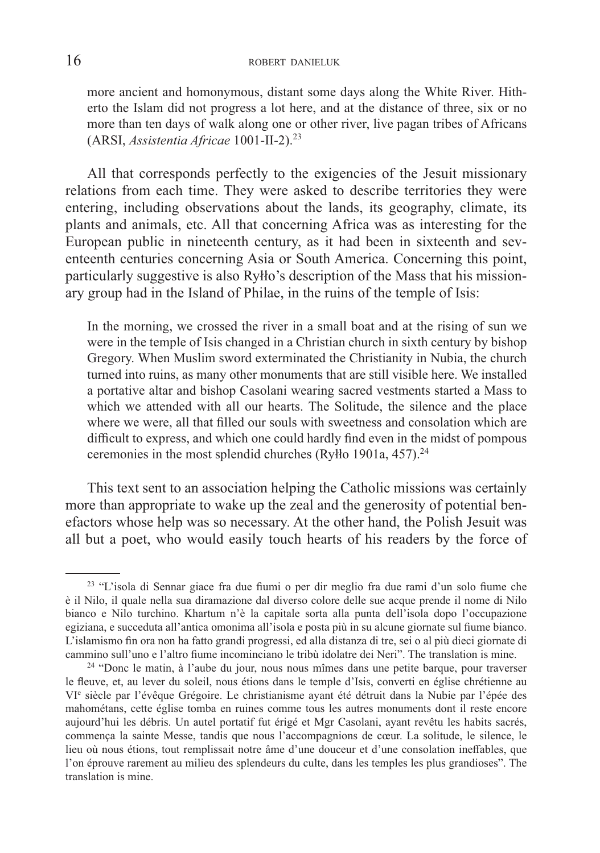more ancient and homonymous, distant some days along the White River. Hitherto the Islam did not progress a lot here, and at the distance of three, six or no more than ten days of walk along one or other river, live pagan tribes of Africans (ARSI, *Assistentia Africae* 1001-II-2).23

All that corresponds perfectly to the exigencies of the Jesuit missionary relations from each time. They were asked to describe territories they were entering, including observations about the lands, its geography, climate, its plants and animals, etc. All that concerning Africa was as interesting for the European public in nineteenth century, as it had been in sixteenth and seventeenth centuries concerning Asia or South America. Concerning this point, particularly suggestive is also Ryłło's description of the Mass that his missionary group had in the Island of Philae, in the ruins of the temple of Isis:

In the morning, we crossed the river in a small boat and at the rising of sun we were in the temple of Isis changed in a Christian church in sixth century by bishop Gregory. When Muslim sword exterminated the Christianity in Nubia, the church turned into ruins, as many other monuments that are still visible here. We installed a portative altar and bishop Casolani wearing sacred vestments started a Mass to which we attended with all our hearts. The Solitude, the silence and the place where we were, all that filled our souls with sweetness and consolation which are difficult to express, and which one could hardly find even in the midst of pompous ceremonies in the most splendid churches (Ryłło 1901a, 457). $^{24}$ 

This text sent to an association helping the Catholic missions was certainly more than appropriate to wake up the zeal and the generosity of potential benefactors whose help was so necessary. At the other hand, the Polish Jesuit was all but a poet, who would easily touch hearts of his readers by the force of

<sup>&</sup>lt;sup>23</sup> "L'isola di Sennar giace fra due fiumi o per dir meglio fra due rami d'un solo fiume che è il Nilo, il quale nella sua diramazione dal diverso colore delle sue acque prende il nome di Nilo bianco e Nilo turchino. Khartum n'è la capitale sorta alla punta dell'isola dopo l'occupazione egiziana, e succeduta all'antica omonima all'isola e posta più in su alcune giornate sul fiume bianco. L'islamismo fin ora non ha fatto grandi progressi, ed alla distanza di tre, sei o al più dieci giornate di cammino sull'uno e l'altro fiume incominciano le tribù idolatre dei Neri". The translation is mine.

<sup>24 &</sup>quot;Donc le matin, à l'aube du jour, nous nous mîmes dans une petite barque, pour traverser le fleuve, et, au lever du soleil, nous étions dans le temple d'Isis, converti en église chrétienne au VIe siècle par l'évêque Grégoire. Le christianisme ayant été détruit dans la Nubie par l'épée des mahométans, cette église tomba en ruines comme tous les autres monuments dont il reste encore aujourd'hui les débris. Un autel portatif fut érigé et Mgr Casolani, ayant revêtu les habits sacrés, commença la sainte Messe, tandis que nous l'accompagnions de cœur. La solitude, le silence, le lieu où nous étions, tout remplissait notre âme d'une douceur et d'une consolation ineffables, que l'on éprouve rarement au milieu des splendeurs du culte, dans les temples les plus grandioses". The translation is mine.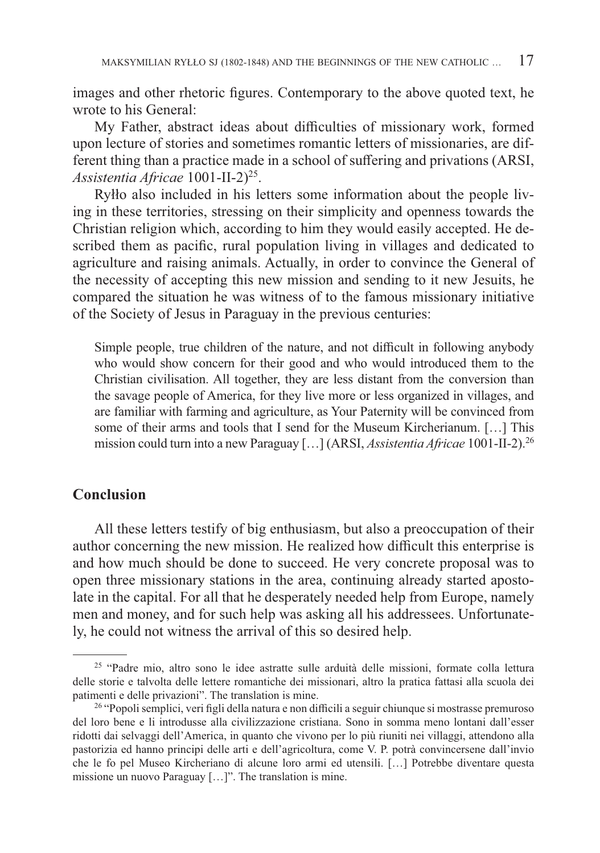images and other rhetoric figures. Contemporary to the above quoted text, he wrote to his General:

My Father, abstract ideas about difficulties of missionary work, formed upon lecture of stories and sometimes romantic letters of missionaries, are different thing than a practice made in a school of suffering and privations (ARSI, *Assistentia Africae* 1001-II-2)25.

Ryłło also included in his letters some information about the people living in these territories, stressing on their simplicity and openness towards the Christian religion which, according to him they would easily accepted. He described them as pacific, rural population living in villages and dedicated to agriculture and raising animals. Actually, in order to convince the General of the necessity of accepting this new mission and sending to it new Jesuits, he compared the situation he was witness of to the famous missionary initiative of the Society of Jesus in Paraguay in the previous centuries:

Simple people, true children of the nature, and not difficult in following anybody who would show concern for their good and who would introduced them to the Christian civilisation. All together, they are less distant from the conversion than the savage people of America, for they live more or less organized in villages, and are familiar with farming and agriculture, as Your Paternity will be convinced from some of their arms and tools that I send for the Museum Kircherianum. […] This mission could turn into a new Paraguay […] (ARSI, *Assistentia Africae* 1001-II-2).26

## **Conclusion**

All these letters testify of big enthusiasm, but also a preoccupation of their author concerning the new mission. He realized how difficult this enterprise is and how much should be done to succeed. He very concrete proposal was to open three missionary stations in the area, continuing already started apostolate in the capital. For all that he desperately needed help from Europe, namely men and money, and for such help was asking all his addressees. Unfortunately, he could not witness the arrival of this so desired help.

<sup>&</sup>lt;sup>25</sup> "Padre mio, altro sono le idee astratte sulle arduità delle missioni, formate colla lettura delle storie e talvolta delle lettere romantiche dei missionari, altro la pratica fattasi alla scuola dei patimenti e delle privazioni". The translation is mine.

<sup>&</sup>lt;sup>26</sup> "Popoli semplici, veri figli della natura e non difficili a seguir chiunque si mostrasse premuroso del loro bene e li introdusse alla civilizzazione cristiana. Sono in somma meno lontani dall'esser ridotti dai selvaggi dell'America, in quanto che vivono per lo più riuniti nei villaggi, attendono alla pastorizia ed hanno principi delle arti e dell'agricoltura, come V. P. potrà convincersene dall'invio che le fo pel Museo Kircheriano di alcune loro armi ed utensili. […] Potrebbe diventare questa missione un nuovo Paraguay […]". The translation is mine.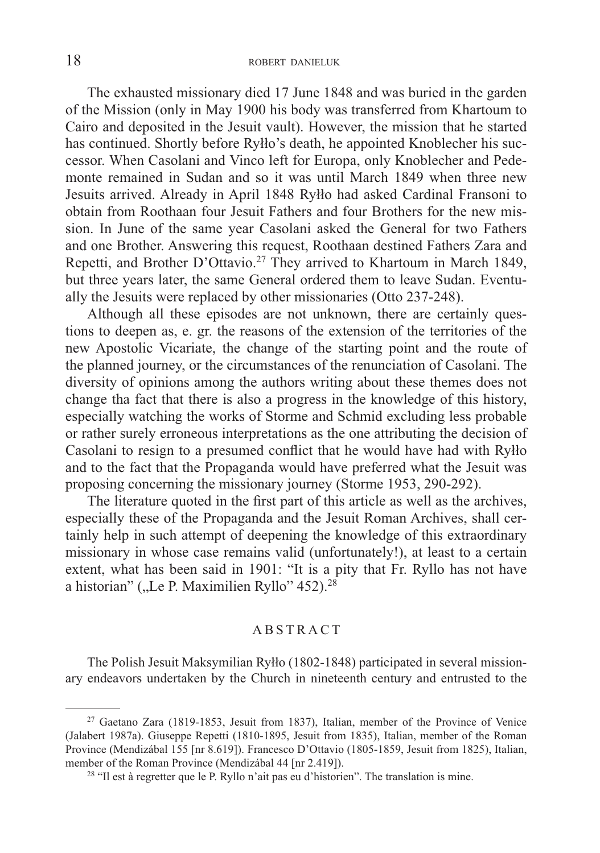The exhausted missionary died 17 June 1848 and was buried in the garden of the Mission (only in May 1900 his body was transferred from Khartoum to Cairo and deposited in the Jesuit vault). However, the mission that he started has continued. Shortly before Ryłło's death, he appointed Knoblecher his successor. When Casolani and Vinco left for Europa, only Knoblecher and Pedemonte remained in Sudan and so it was until March 1849 when three new Jesuits arrived. Already in April 1848 Ryłło had asked Cardinal Fransoni to obtain from Roothaan four Jesuit Fathers and four Brothers for the new mission. In June of the same year Casolani asked the General for two Fathers and one Brother. Answering this request, Roothaan destined Fathers Zara and Repetti, and Brother D'Ottavio.<sup>27</sup> They arrived to Khartoum in March 1849, but three years later, the same General ordered them to leave Sudan. Eventually the Jesuits were replaced by other missionaries (Otto 237-248).

Although all these episodes are not unknown, there are certainly questions to deepen as, e. gr. the reasons of the extension of the territories of the new Apostolic Vicariate, the change of the starting point and the route of the planned journey, or the circumstances of the renunciation of Casolani. The diversity of opinions among the authors writing about these themes does not change tha fact that there is also a progress in the knowledge of this history, especially watching the works of Storme and Schmid excluding less probable or rather surely erroneous interpretations as the one attributing the decision of Casolani to resign to a presumed conflict that he would have had with Ryłło and to the fact that the Propaganda would have preferred what the Jesuit was proposing concerning the missionary journey (Storme 1953, 290-292).

The literature quoted in the first part of this article as well as the archives, especially these of the Propaganda and the Jesuit Roman Archives, shall certainly help in such attempt of deepening the knowledge of this extraordinary missionary in whose case remains valid (unfortunately!), at least to a certain extent, what has been said in 1901: "It is a pity that Fr. Ryllo has not have a historian" ("Le P. Maximilien Ryllo"  $452$ ).<sup>28</sup>

#### ABSTRACT

The Polish Jesuit Maksymilian Ryłło (1802-1848) participated in several missionary endeavors undertaken by the Church in nineteenth century and entrusted to the

<sup>27</sup> Gaetano Zara (1819-1853, Jesuit from 1837), Italian, member of the Province of Venice (Jalabert 1987a). Giuseppe Repetti (1810-1895, Jesuit from 1835), Italian, member of the Roman Province (Mendizábal 155 [nr 8.619]). Francesco D'Ottavio (1805-1859, Jesuit from 1825), Italian, member of the Roman Province (Mendizábal 44 [nr 2.419]).

 $28$  "Il est à regretter que le P. Ryllo n'ait pas eu d'historien". The translation is mine.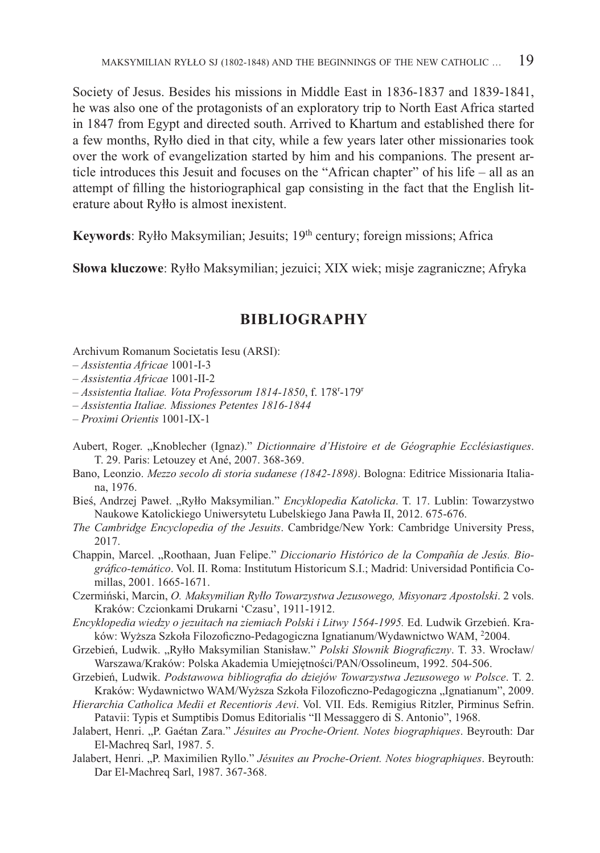Society of Jesus. Besides his missions in Middle East in 1836-1837 and 1839-1841, he was also one of the protagonists of an exploratory trip to North East Africa started in 1847 from Egypt and directed south. Arrived to Khartum and established there for a few months, Ryłło died in that city, while a few years later other missionaries took over the work of evangelization started by him and his companions. The present article introduces this Jesuit and focuses on the "African chapter" of his life – all as an attempt of filling the historiographical gap consisting in the fact that the English literature about Ryłło is almost inexistent.

**Keywords**: Ryłło Maksymilian; Jesuits; 19<sup>th</sup> century; foreign missions; Africa

**Słowa kluczowe**: Ryłło Maksymilian; jezuici; XIX wiek; misje zagraniczne; Afryka

### **BIBLIOGRAPHY**

Archivum Romanum Societatis Iesu (ARSI):

- *Assistentia Africae* 1001-I-3
- *Assistentia Africae* 1001-II-2
- *Assistentia Italiae. Vota Professorum 1814-1850*, f. 178r -179r
- *Assistentia Italiae. Missiones Petentes 1816-1844*
- *Proximi Orientis* 1001-IX-1
- Aubert, Roger. "Knoblecher (Ignaz)." *Dictionnaire d'Histoire et de Géographie Ecclésiastiques*. T. 29. Paris: Letouzey et Ané, 2007. 368-369.
- Bano, Leonzio. *Mezzo secolo di storia sudanese (1842-1898)*. Bologna: Editrice Missionaria Italiana, 1976.
- Bieś, Andrzej Paweł. "Ryłło Maksymilian." *Encyklopedia Katolicka*. T. 17. Lublin: Towarzystwo Naukowe Katolickiego Uniwersytetu Lubelskiego Jana Pawła II, 2012. 675-676.
- *The Cambridge Encyclopedia of the Jesuits*. Cambridge/New York: Cambridge University Press, 2017.
- Chappin, Marcel. "Roothaan, Juan Felipe." *Diccionario Histórico de la Compañía de Jesús. Bio*gráfico-temático. Vol. II. Roma: Institutum Historicum S.I.; Madrid: Universidad Pontificia Comillas, 2001. 1665-1671.
- Czermiński, Marcin, *O. Maksymilian Ryłło Towarzystwa Jezusowego, Misyonarz Apostolski*. 2 vols. Kraków: Czcionkami Drukarni 'Czasu', 1911-1912.
- *Encyklopedia wiedzy o jezuitach na ziemiach Polski i Litwy 1564-1995.* Ed. Ludwik Grzebień. Kraków: Wyższa Szkoła Filozoficzno-Pedagogiczna Ignatianum/Wydawnictwo WAM, <sup>2</sup>2004.
- Grzebień, Ludwik. "Ryłło Maksymilian Stanisław." Polski Słownik Biograficzny. T. 33. Wrocław/ Warszawa/Kraków: Polska Akademia Umiejętności/PAN/Ossolineum, 1992. 504-506.
- Grzebień, Ludwik. Podstawowa bibliografia do dziejów Towarzystwa Jezusowego w Polsce. T. 2. Kraków: Wydawnictwo WAM/Wyższa Szkoła Filozoficzno-Pedagogiczna "Ignatianum", 2009.
- *Hierarchia Catholica Medii et Recentioris Aevi*. Vol. VII. Eds. Remigius Ritzler, Pirminus Sefrin. Patavii: Typis et Sumptibis Domus Editorialis "Il Messaggero di S. Antonio", 1968.
- Jalabert, Henri. "P. Gaétan Zara." *Jésuites au Proche-Orient. Notes biographiques*. Beyrouth: Dar El-Machreq Sarl, 1987. 5.
- Jalabert, Henri. "P. Maximilien Ryllo." *Jésuites au Proche-Orient. Notes biographiques*. Beyrouth: Dar El-Machreq Sarl, 1987. 367-368.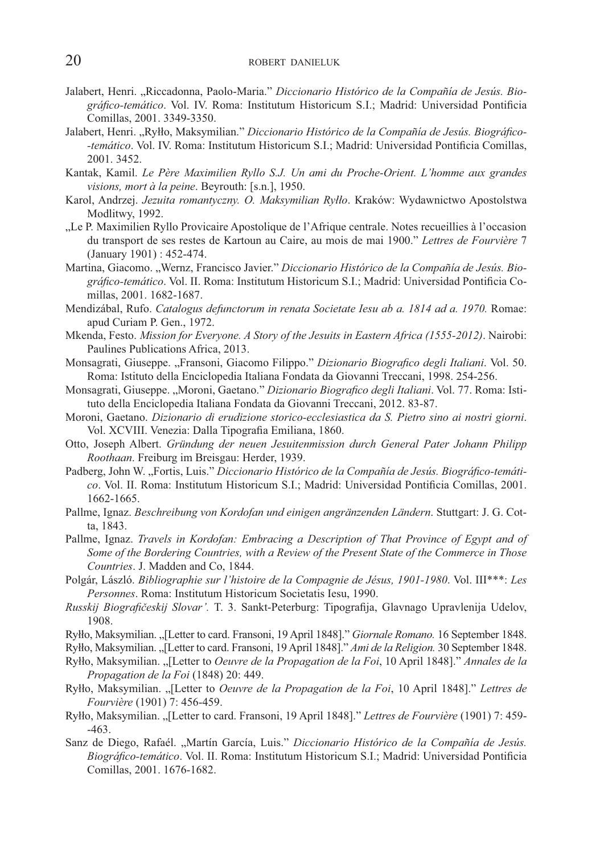- Jalabert, Henri. "Riccadonna, Paolo-Maria." Diccionario Histórico de la Compañía de Jesús. Bio*gráfico-temático*. Vol. IV. Roma: Institutum Historicum S.I.; Madrid: Universidad Pontificia Comillas, 2001. 3349-3350.
- Jalabert, Henri. "Ryłło, Maksymilian." *Diccionario Histórico de la Compañía de Jesús. Biográfico--temático*. Vol. IV. Roma: Institutum Historicum S.I.; Madrid: Universidad Pontificia Comillas, 2001. 3452.
- Kantak, Kamil. *Le Père Maximilien Ryllo S.J. Un ami du Proche-Orient. L'homme aux grandes visions, mort à la peine*. Beyrouth: [s.n.], 1950.
- Karol, Andrzej. *Jezuita romantyczny. O. Maksymilian Ryłło*. Kraków: Wydawnictwo Apostolstwa Modlitwy, 1992.
- "Le P. Maximilien Ryllo Provicaire Apostolique de l'Afrique centrale. Notes recueillies à l'occasion du transport de ses restes de Kartoun au Caire, au mois de mai 1900." *Lettres de Fourvière* 7 (January 1901) : 452-474.
- Martina, Giacomo. "Wernz, Francisco Javier." Diccionario Histórico de la Compañía de Jesús. Biográfico-temático. Vol. II. Roma: Institutum Historicum S.I.; Madrid: Universidad Pontificia Comillas, 2001. 1682-1687.
- Mendizábal, Rufo. *Catalogus defunctorum in renata Societate Iesu ab a. 1814 ad a. 1970.* Romae: apud Curiam P. Gen., 1972.
- Mkenda, Festo. *Mission for Everyone. A Story of the Jesuits in Eastern Africa (1555-2012)*. Nairobi: Paulines Publications Africa, 2013.
- Monsagrati, Giuseppe. "Fransoni, Giacomo Filippo." *Dizionario Biografico degli Italiani*. Vol. 50. Roma: Istituto della Enciclopedia Italiana Fondata da Giovanni Treccani, 1998. 254-256.
- Monsagrati, Giuseppe. "Moroni, Gaetano." *Dizionario Biografico degli Italiani*. Vol. 77. Roma: Istituto della Enciclopedia Italiana Fondata da Giovanni Treccani, 2012. 83-87.
- Moroni, Gaetano. *Dizionario di erudizione storico-ecclesiastica da S. Pietro sino ai nostri giorni*. Vol. XCVIII. Venezia: Dalla Tipografia Emiliana, 1860.
- Otto, Joseph Albert. *Gründung der neuen Jesuitenmission durch General Pater Johann Philipp Roothaan*. Freiburg im Breisgau: Herder, 1939.
- Padberg, John W. "Fortis, Luis." Diccionario Histórico de la Compañía de Jesús. Biográfico-temáti*co*. Vol. II. Roma: Institutum Historicum S.I.; Madrid: Universidad Pontificia Comillas, 2001. 1662-1665.
- Pallme, Ignaz. *Beschreibung von Kordofan und einigen angränzenden Ländern*. Stuttgart: J. G. Cotta, 1843.
- Pallme, Ignaz. *Travels in Kordofan: Embracing a Description of That Province of Egypt and of Some of the Bordering Countries, with a Review of the Present State of the Commerce in Those Countries*. J. Madden and Co, 1844.
- Polgár, László. *Bibliographie sur l'histoire de la Compagnie de Jésus, 1901-1980*. Vol. III\*\*\*: *Les Personnes*. Roma: Institutum Historicum Societatis Iesu, 1990.
- *Russkij Biografičeskij Slovar'*. T. 3. Sankt-Peterburg: Tipografija, Glavnago Upravlenija Udelov, 1908.

Ryłło, Maksymilian. "[Letter to card. Fransoni, 19 April 1848]." *Giornale Romano.* 16 September 1848.

Ryłło, Maksymilian. "[Letter to card. Fransoni, 19 April 1848]." *Ami de la Religion.* 30 September 1848.

- Ryłło, Maksymilian. "[Letter to *Oeuvre de la Propagation de la Foi*, 10 April 1848]." *Annales de la Propagation de la Foi* (1848) 20: 449.
- Ryłło, Maksymilian. "[Letter to *Oeuvre de la Propagation de la Foi*, 10 April 1848]." *Lettres de Fourvière* (1901) 7: 456-459.
- Ryłło, Maksymilian. "[Letter to card. Fransoni, 19 April 1848]." *Lettres de Fourvière* (1901) 7: 459- -463.
- Sanz de Diego, Rafaél. "Martín García, Luis." *Diccionario Histórico de la Compañía de Jesús.* Biográfico-temático. Vol. II. Roma: Institutum Historicum S.I.; Madrid: Universidad Pontificia Comillas, 2001. 1676-1682.